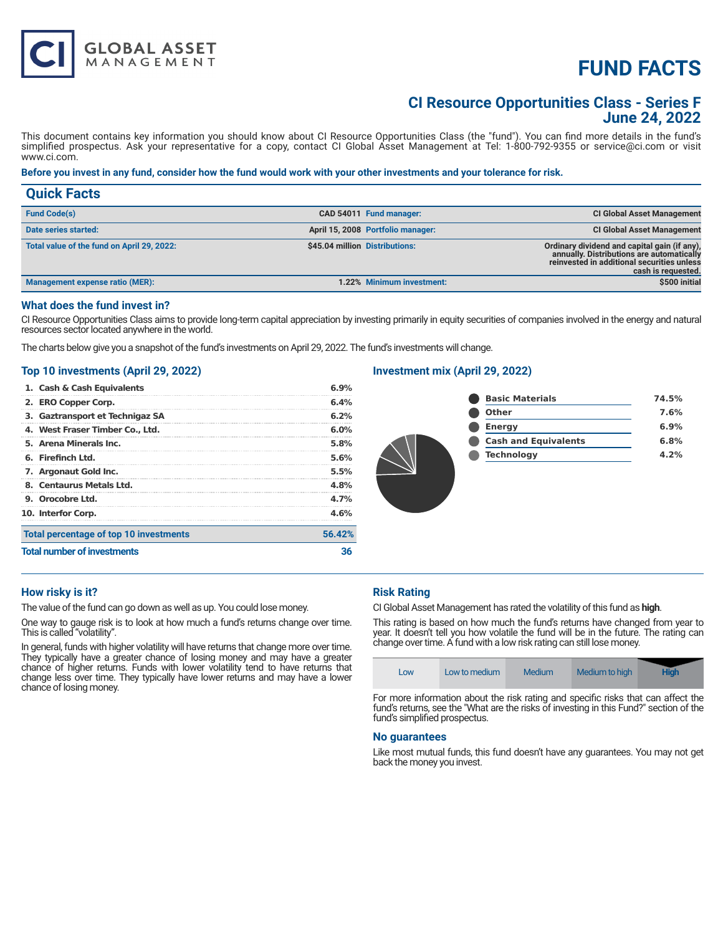# **FUND FACTS**

# **CI Resource Opportunities Class - Series F June 24, 2022**

This document contains key information you should know about CI Resource Opportunities Class (the "fund"). You can find more details in the fund's simplified prospectus. Ask your representative for a copy, contact CI Global Asset Management at Tel: 1-800-792-9355 or service@ci.com or visit www.ci.com.

#### **Before you invest in any fund, consider how the fund would work with your other investments and your tolerance for risk.**

| <b>Quick Facts</b>                         |                                                                                                                                                                                                 |
|--------------------------------------------|-------------------------------------------------------------------------------------------------------------------------------------------------------------------------------------------------|
| <b>Fund Code(s)</b>                        | <b>CI Global Asset Management</b><br>CAD 54011 Fund manager:                                                                                                                                    |
| Date series started:                       | April 15, 2008 Portfolio manager:<br><b>CI Global Asset Management</b>                                                                                                                          |
| Total value of the fund on April 29, 2022: | \$45.04 million Distributions:<br>Ordinary dividend and capital gain (if any),<br>annually. Distributions are automatically<br>reinvested in additional securities unless<br>cash is requested. |
| <b>Management expense ratio (MER):</b>     | \$500 initial<br>1.22% Minimum investment:                                                                                                                                                      |

### **What does the fund invest in?**

CI Resource Opportunities Class aims to provide long-term capital appreciation by investing primarily in equity securities of companies involved in the energy and natural resources sector located anywhere in the world.

The charts below give you a snapshot of the fund's investments on April 29, 2022. The fund's investments will change.

## **Top 10 investments (April 29, 2022)**

**GLOBAL ASSET**<br>MANAGEMENT

| <b>Total number of investments</b>     | 36     |  |
|----------------------------------------|--------|--|
| Total percentage of top 10 investments | 56.42% |  |
| 10. Interfor Corp.                     | 4.6%   |  |
| 9. Orocobre Ltd.                       | 4.7%   |  |
| 8. Centaurus Metals Ltd.               | 4.8%   |  |
| 7. Argonaut Gold Inc.                  | 5.5%   |  |
| 6. Firefinch Ltd.                      | 5.6%   |  |
| 5. Arena Minerals Inc.                 | 5.8%   |  |
| 4. West Fraser Timber Co., Ltd.        | 6.0%   |  |
| 3. Gaztransport et Technigaz SA        | 6.2%   |  |
| 2. ERO Copper Corp.                    | 6.4%   |  |
| 1. Cash & Cash Equivalents             | 6.9%   |  |

## **Investment mix (April 29, 2022)**

| 74.5% |
|-------|
| 7.6%  |
| 6.9%  |
| 6.8%  |
| 4.2%  |
|       |
|       |
|       |
|       |

#### **How risky is it?**

The value of the fund can go down as well as up. You could lose money.

One way to gauge risk is to look at how much a fund's returns change over time. This is called "volatility".

In general, funds with higher volatility will have returns that change more over time. They typically have a greater chance of losing money and may have a greater chance of higher returns. Funds with lower volatility tend to have returns that change less over time. They typically have lower returns and may have a lower chance of losing money.

#### **Risk Rating**

CI Global Asset Management has rated the volatility of this fund as **high**.

This rating is based on how much the fund's returns have changed from year to year. It doesn't tell you how volatile the fund will be in the future. The rating can change over time. A fund with a low risk rating can still lose money.

| Low | Low to medium | <b>Medium</b> | Medium to high | <b>High</b> |
|-----|---------------|---------------|----------------|-------------|
|     |               | .             | .              | --          |

For more information about the risk rating and specific risks that can affect the fund's returns, see the "What are the risks of investing in this Fund?" section of the fund's simplified prospectus.

#### **No guarantees**

Like most mutual funds, this fund doesn't have any guarantees. You may not get back the money you invest.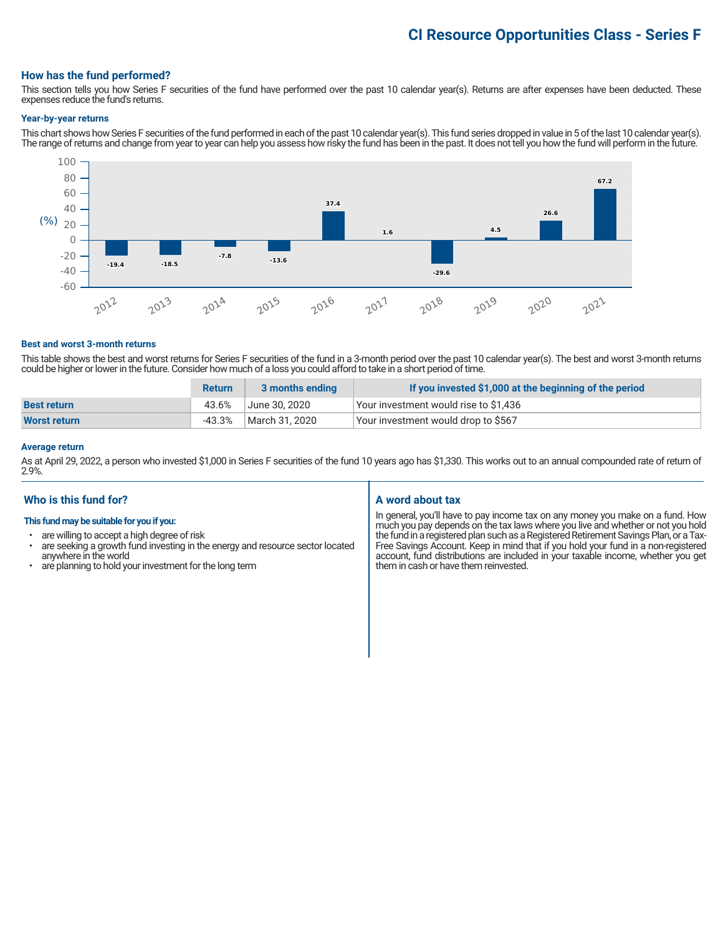# **CI Resource Opportunities Class - Series F**

#### **How has the fund performed?**

This section tells you how Series F securities of the fund have performed over the past 10 calendar year(s). Returns are after expenses have been deducted. These expenses reduce the fund's returns.

#### **Year-by-year returns**

This chart shows how Series F securities of the fund performed in each of the past 10 calendar year(s). This fund series dropped in value in 5 of the last 10 calendar year(s). The range of returns and change from year to year can help you assess how risky the fund has been in the past. It does not tell you how the fund will perform in the future.



#### **Best and worst 3-month returns**

This table shows the best and worst returns for Series F securities of the fund in a 3-month period over the past 10 calendar year(s). The best and worst 3-month returns could be higher or lower in the future. Consider how much of a loss you could afford to take in a short period of time.

|                     | <b>Return</b> | 3 months ending | If you invested \$1,000 at the beginning of the period |
|---------------------|---------------|-----------------|--------------------------------------------------------|
| <b>Best return</b>  | 43.6%         | June 30, 2020   | Your investment would rise to \$1,436                  |
| <b>Worst return</b> | -43.3%        | March 31. 2020  | Your investment would drop to \$567                    |

### **Average return**

As at April 29, 2022, a person who invested \$1,000 in Series F securities of the fund 10 years ago has \$1,330. This works out to an annual compounded rate of return of 2.9%.

### **Who is this fund for?**

#### **This fund may be suitable for you if you:**

- are willing to accept a high degree of risk
- are seeking a growth fund investing in the energy and resource sector located anywhere in the world
- are planning to hold your investment for the long term

#### **A word about tax**

In general, you'll have to pay income tax on any money you make on a fund. How much you pay depends on the tax laws where you live and whether or not you hold the fund in a registered plan such as a Registered Retirement Savings Plan, or a Tax-Free Savings Account. Keep in mind that if you hold your fund in a non-registered account, fund distributions are included in your taxable income, whether you get them in cash or have them reinvested.